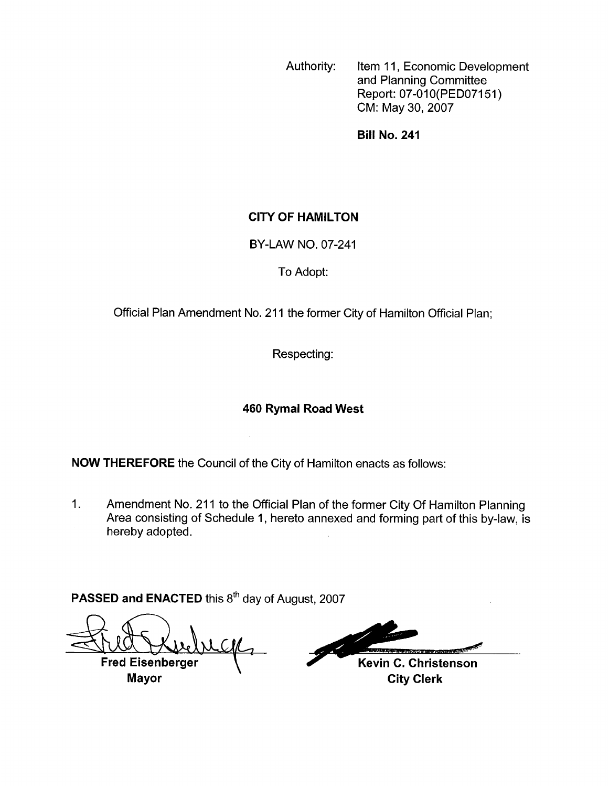Authority: Item 11, Economic Development and Planning Committee Report: 07-01O(PEDO7151) CM: May 30,2007

**Bill No. 241** 

#### **CITY OF HAMILTON**

BY-LAW NO. 07-241

#### To Adopt:

Official Plan Amendment No. 211 the former City of Hamilton Official Plan;

Respecting:

### **460 Rymal Road West**

**NOW THEREFORE** the Council of the City of Hamilton enacts as follows:

1. Amendment No. 211 to the Official Plan of the former City Of Hamilton Planning Area consisting of Schedule 1, hereto annexed and forming part of this by-law, is hereby adopted.

PASSED and ENACTED this 8<sup>th</sup> day of August, 2007

**Fred Eisenberger Mayor** City Clerk

Kevin C. Christenson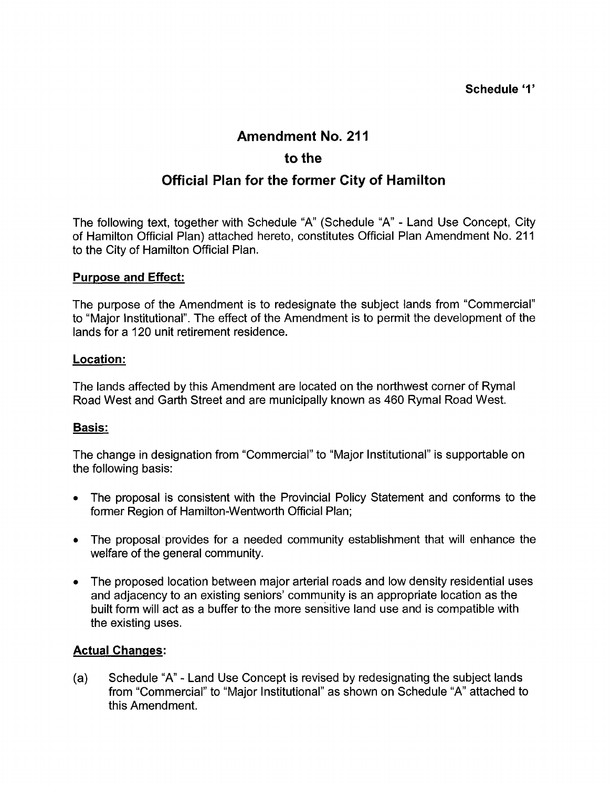## **Amendment No. 21** I

## **to the**

# **Official Plan for the former City of Hamilton**

The following text, together with Schedule "A' (Schedule "A" - Land Use Concept, City of Hamilton Official Plan) attached hereto, constitutes Official Plan Amendment No. 211 to the City of Hamilton Official Plan.

#### **Purpose and Effect:**

The purpose of the Amendment is to redesignate the subject lands from "Commercial" to "Major Institutional". The effect of the Amendment is to permit the development of the lands for a 120 unit retirement residence.

#### **Location:**

The lands affected by this Amendment are located on the northwest corner of Rymal Road West and Garth Street and are municipally known as 460 Rymal Road West.

#### **Basis:**

The change in designation from "Commercial" to "Major Institutional" is supportable on the following basis:

- The proposal is consistent with the Provincial Policy Statement and conforms to the former Region of Hamilton-Wentworth Official Plan;
- *<sup>0</sup>*The proposal'provides for a needed community establishment that will enhance the welfare of the general community.
- The proposed location between major arterial roads and low density residential uses and adjacency to an existing seniors' community is an appropriate location as the built form will act as a buffer to the more sensitive land use and is compatible with the existing uses.

#### **Actual Changes:**

(a) Schedule "A" - Land Use Concept is revised by redesignating the subject lands from "Commercial" to "Major Institutional" as shown on Schedule "A" attached to this Amendment.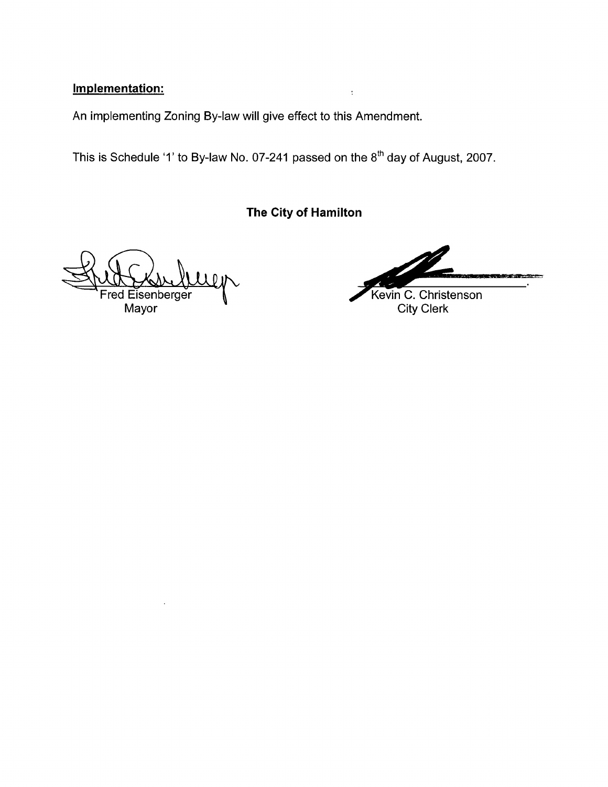## **Implementation:**

An implementing Zoning By-law will give effect to this Amendment.

This is Schedule '1' to By-law No. 07-241 passed on the  $8<sup>th</sup>$  day of August, 2007.

**The City of Hamilton** 

 $\bar{z}$ 

 $\Omega$ 

Fred Eisenberger **1**<br>Mayor City Clerk